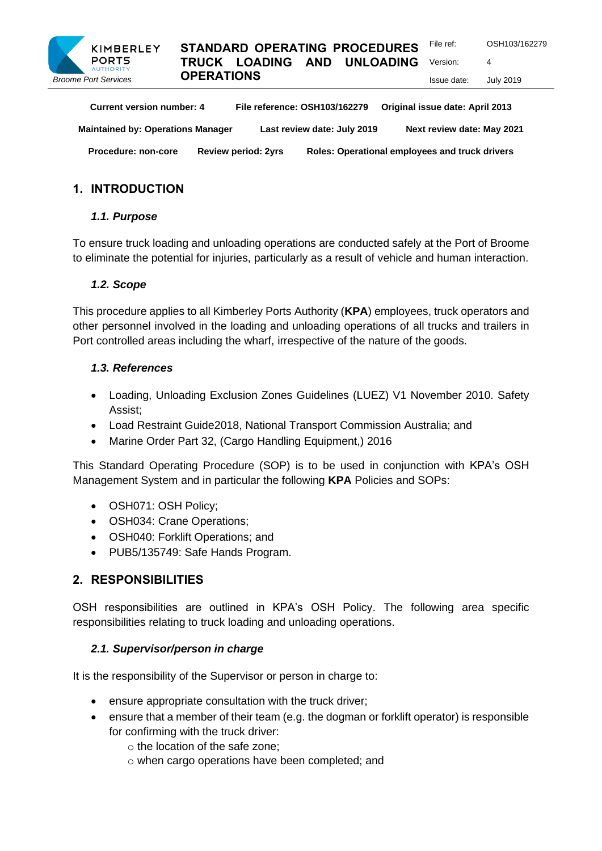

## **STANDARD OPERATING PROCEDURES TRUCK LOADING AND UNLOADING OPERATIONS**

Issue date: July 2019

Version: 4

| <b>Current version number: 4</b>         | File reference: OSH103/162279 |                             | Original issue date: April 2013                |
|------------------------------------------|-------------------------------|-----------------------------|------------------------------------------------|
| <b>Maintained by: Operations Manager</b> |                               | Last review date: July 2019 | Next review date: May 2021                     |
| <b>Procedure: non-core</b>               | <b>Review period: 2yrs</b>    |                             | Roles: Operational employees and truck drivers |

# **1. INTRODUCTION**

## *1.1. Purpose*

To ensure truck loading and unloading operations are conducted safely at the Port of Broome to eliminate the potential for injuries, particularly as a result of vehicle and human interaction.

### *1.2. Scope*

This procedure applies to all Kimberley Ports Authority (**KPA**) employees, truck operators and other personnel involved in the loading and unloading operations of all trucks and trailers in Port controlled areas including the wharf, irrespective of the nature of the goods.

### *1.3. References*

- Loading, Unloading Exclusion Zones Guidelines (LUEZ) V1 November 2010. Safety Assist;
- Load Restraint Guide2018, National Transport Commission Australia; and
- Marine Order Part 32, (Cargo Handling Equipment,) 2016

This Standard Operating Procedure (SOP) is to be used in conjunction with KPA's OSH Management System and in particular the following **KPA** Policies and SOPs:

- OSH071: OSH Policy;
- **OSH034: Crane Operations:**
- OSH040: Forklift Operations; and
- PUB5/135749: Safe Hands Program.

## **2. RESPONSIBILITIES**

OSH responsibilities are outlined in KPA's OSH Policy. The following area specific responsibilities relating to truck loading and unloading operations.

#### *2.1. Supervisor/person in charge*

It is the responsibility of the Supervisor or person in charge to:

- ensure appropriate consultation with the truck driver;
- ensure that a member of their team (e.g. the dogman or forklift operator) is responsible for confirming with the truck driver:
	- o the location of the safe zone;
	- o when cargo operations have been completed; and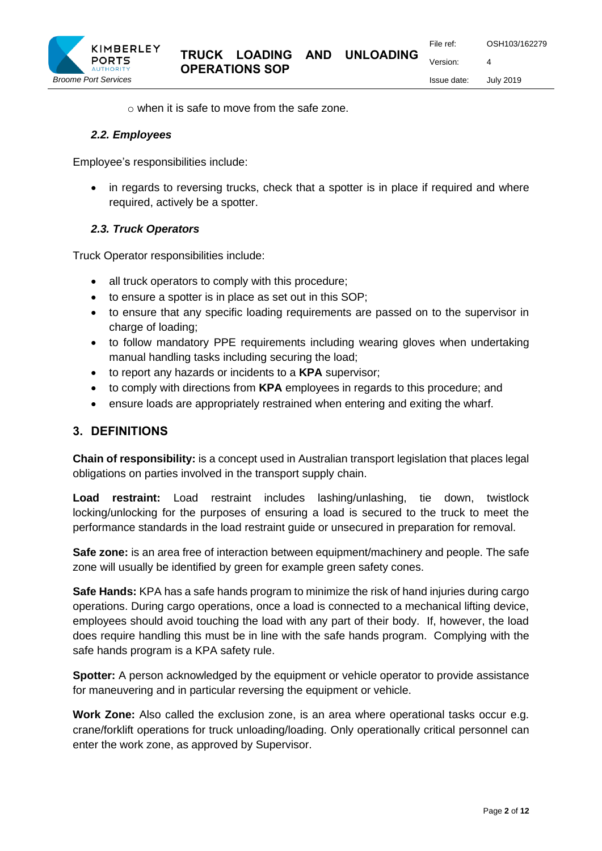Issue date: July 2019

Version: 4

o when it is safe to move from the safe zone.

#### *2.2. Employees*

Employee's responsibilities include:

• in regards to reversing trucks, check that a spotter is in place if required and where required, actively be a spotter.

### *2.3. Truck Operators*

Truck Operator responsibilities include:

- all truck operators to comply with this procedure;
- to ensure a spotter is in place as set out in this SOP;
- to ensure that any specific loading requirements are passed on to the supervisor in charge of loading;
- to follow mandatory PPE requirements including wearing gloves when undertaking manual handling tasks including securing the load;
- to report any hazards or incidents to a **KPA** supervisor;
- to comply with directions from **KPA** employees in regards to this procedure; and
- ensure loads are appropriately restrained when entering and exiting the wharf.

## **3. DEFINITIONS**

**Chain of responsibility:** is a concept used in Australian transport legislation that places legal obligations on parties involved in the transport supply chain.

**Load restraint:** Load restraint includes lashing/unlashing, tie down, twistlock locking/unlocking for the purposes of ensuring a load is secured to the truck to meet the performance standards in the load restraint guide or unsecured in preparation for removal.

**Safe zone:** is an area free of interaction between equipment/machinery and people. The safe zone will usually be identified by green for example green safety cones.

**Safe Hands:** KPA has a safe hands program to minimize the risk of hand injuries during cargo operations. During cargo operations, once a load is connected to a mechanical lifting device, employees should avoid touching the load with any part of their body. If, however, the load does require handling this must be in line with the safe hands program. Complying with the safe hands program is a KPA safety rule.

**Spotter:** A person acknowledged by the equipment or vehicle operator to provide assistance for maneuvering and in particular reversing the equipment or vehicle.

**Work Zone:** Also called the exclusion zone, is an area where operational tasks occur e.g. crane/forklift operations for truck unloading/loading. Only operationally critical personnel can enter the work zone, as approved by Supervisor.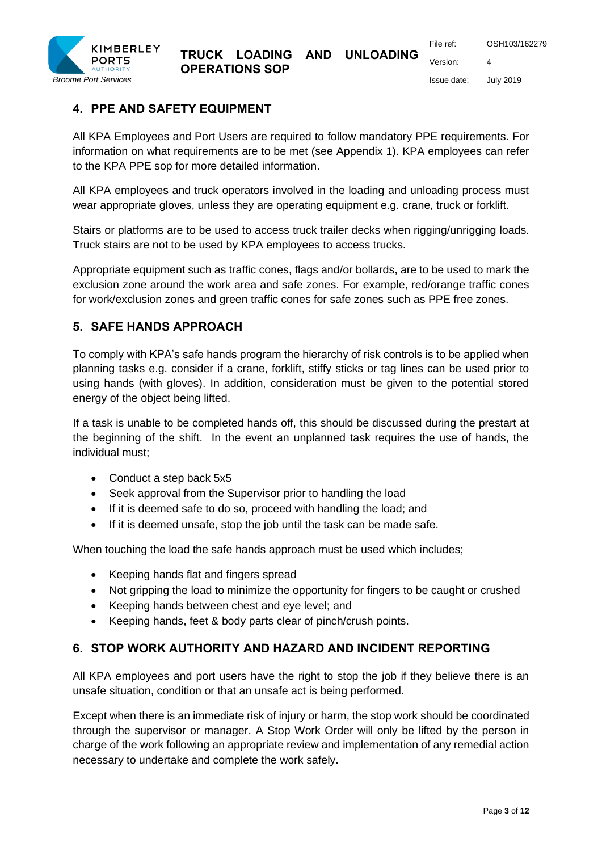# **4. PPE AND SAFETY EQUIPMENT**

All KPA Employees and Port Users are required to follow mandatory PPE requirements. For information on what requirements are to be met (see Appendix 1). KPA employees can refer to the KPA PPE sop for more detailed information.

All KPA employees and truck operators involved in the loading and unloading process must wear appropriate gloves, unless they are operating equipment e.g. crane, truck or forklift.

Stairs or platforms are to be used to access truck trailer decks when rigging/unrigging loads. Truck stairs are not to be used by KPA employees to access trucks.

Appropriate equipment such as traffic cones, flags and/or bollards, are to be used to mark the exclusion zone around the work area and safe zones. For example, red/orange traffic cones for work/exclusion zones and green traffic cones for safe zones such as PPE free zones.

## **5. SAFE HANDS APPROACH**

To comply with KPA's safe hands program the hierarchy of risk controls is to be applied when planning tasks e.g. consider if a crane, forklift, stiffy sticks or tag lines can be used prior to using hands (with gloves). In addition, consideration must be given to the potential stored energy of the object being lifted.

If a task is unable to be completed hands off, this should be discussed during the prestart at the beginning of the shift. In the event an unplanned task requires the use of hands, the individual must;

- Conduct a step back 5x5
- Seek approval from the Supervisor prior to handling the load
- If it is deemed safe to do so, proceed with handling the load; and
- If it is deemed unsafe, stop the job until the task can be made safe.

When touching the load the safe hands approach must be used which includes;

- Keeping hands flat and fingers spread
- Not gripping the load to minimize the opportunity for fingers to be caught or crushed
- Keeping hands between chest and eye level; and
- Keeping hands, feet & body parts clear of pinch/crush points.

## **6. STOP WORK AUTHORITY AND HAZARD AND INCIDENT REPORTING**

All KPA employees and port users have the right to stop the job if they believe there is an unsafe situation, condition or that an unsafe act is being performed.

Except when there is an immediate risk of injury or harm, the stop work should be coordinated through the supervisor or manager. A Stop Work Order will only be lifted by the person in charge of the work following an appropriate review and implementation of any remedial action necessary to undertake and complete the work safely.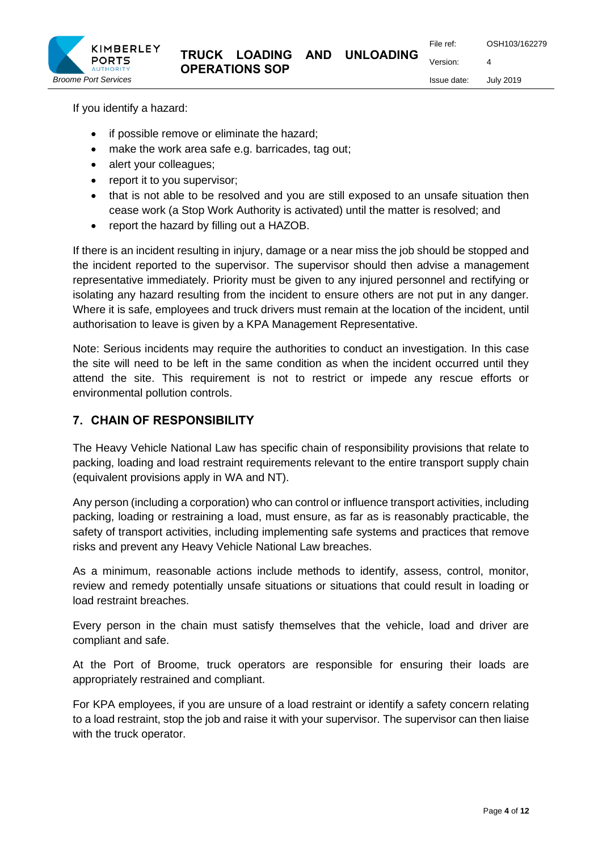

Issue date: July 2019

If you identify a hazard:

- if possible remove or eliminate the hazard;
- make the work area safe e.g. barricades, tag out;
- alert your colleagues:
- report it to you supervisor;
- that is not able to be resolved and you are still exposed to an unsafe situation then cease work (a Stop Work Authority is activated) until the matter is resolved; and
- report the hazard by filling out a HAZOB.

If there is an incident resulting in injury, damage or a near miss the job should be stopped and the incident reported to the supervisor. The supervisor should then advise a management representative immediately. Priority must be given to any injured personnel and rectifying or isolating any hazard resulting from the incident to ensure others are not put in any danger. Where it is safe, employees and truck drivers must remain at the location of the incident, until authorisation to leave is given by a KPA Management Representative.

Note: Serious incidents may require the authorities to conduct an investigation. In this case the site will need to be left in the same condition as when the incident occurred until they attend the site. This requirement is not to restrict or impede any rescue efforts or environmental pollution controls.

## **7. CHAIN OF RESPONSIBILITY**

The Heavy Vehicle National Law has specific chain of responsibility provisions that relate to packing, loading and load restraint requirements relevant to the entire transport supply chain (equivalent provisions apply in WA and NT).

Any person (including a corporation) who can control or influence transport activities, including packing, loading or restraining a load, must ensure, as far as is reasonably practicable, the safety of transport activities, including implementing safe systems and practices that remove risks and prevent any Heavy Vehicle National Law breaches.

As a minimum, reasonable actions include methods to identify, assess, control, monitor, review and remedy potentially unsafe situations or situations that could result in loading or load restraint breaches.

Every person in the chain must satisfy themselves that the vehicle, load and driver are compliant and safe.

At the Port of Broome, truck operators are responsible for ensuring their loads are appropriately restrained and compliant.

For KPA employees, if you are unsure of a load restraint or identify a safety concern relating to a load restraint, stop the job and raise it with your supervisor. The supervisor can then liaise with the truck operator.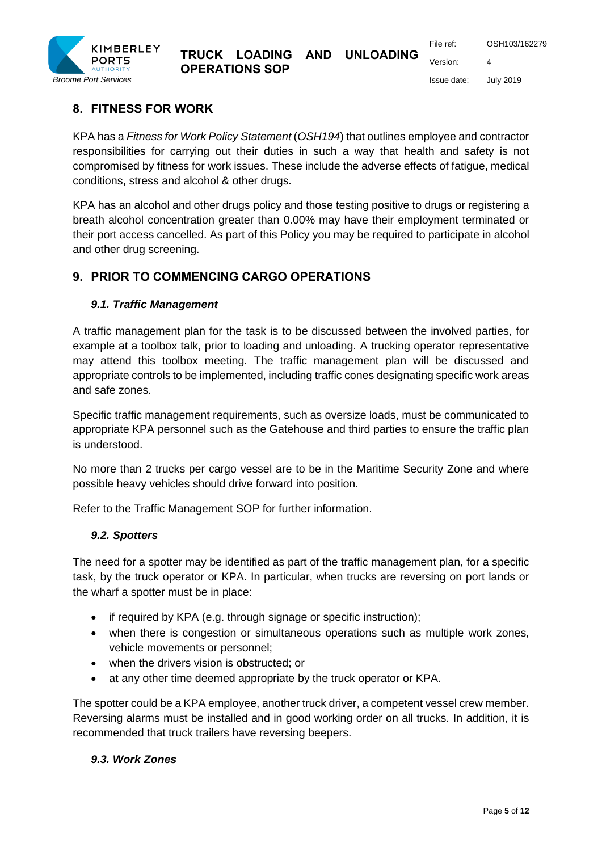## **8. FITNESS FOR WORK**

KPA has a *Fitness for Work Policy Statement* (*OSH194*) that outlines employee and contractor responsibilities for carrying out their duties in such a way that health and safety is not compromised by fitness for work issues. These include the adverse effects of fatigue, medical conditions, stress and alcohol & other drugs.

KPA has an alcohol and other drugs policy and those testing positive to drugs or registering a breath alcohol concentration greater than 0.00% may have their employment terminated or their port access cancelled. As part of this Policy you may be required to participate in alcohol and other drug screening.

## **9. PRIOR TO COMMENCING CARGO OPERATIONS**

#### *9.1. Traffic Management*

A traffic management plan for the task is to be discussed between the involved parties, for example at a toolbox talk, prior to loading and unloading. A trucking operator representative may attend this toolbox meeting. The traffic management plan will be discussed and appropriate controls to be implemented, including traffic cones designating specific work areas and safe zones.

Specific traffic management requirements, such as oversize loads, must be communicated to appropriate KPA personnel such as the Gatehouse and third parties to ensure the traffic plan is understood.

No more than 2 trucks per cargo vessel are to be in the Maritime Security Zone and where possible heavy vehicles should drive forward into position.

Refer to the Traffic Management SOP for further information.

#### *9.2. Spotters*

The need for a spotter may be identified as part of the traffic management plan, for a specific task, by the truck operator or KPA. In particular, when trucks are reversing on port lands or the wharf a spotter must be in place:

- if required by KPA (e.g. through signage or specific instruction);
- when there is congestion or simultaneous operations such as multiple work zones, vehicle movements or personnel;
- when the drivers vision is obstructed; or
- at any other time deemed appropriate by the truck operator or KPA.

The spotter could be a KPA employee, another truck driver, a competent vessel crew member. Reversing alarms must be installed and in good working order on all trucks. In addition, it is recommended that truck trailers have reversing beepers.

#### *9.3. Work Zones*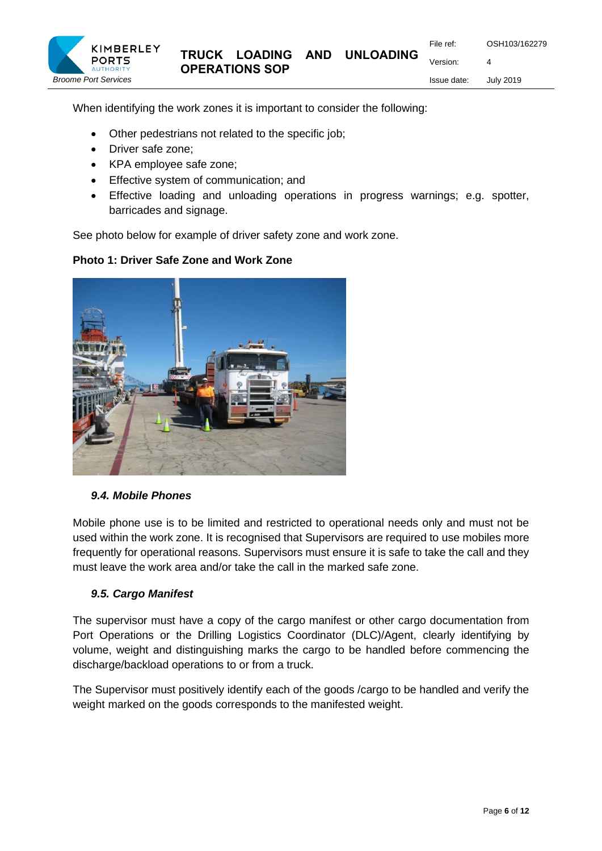Issue date: July 2019



When identifying the work zones it is important to consider the following:

- Other pedestrians not related to the specific job;
- Driver safe zone;

KIMBERLEY

- KPA employee safe zone;
- Effective system of communication; and
- Effective loading and unloading operations in progress warnings; e.g. spotter, barricades and signage.

See photo below for example of driver safety zone and work zone.

### **Photo 1: Driver Safe Zone and Work Zone**



## *9.4. Mobile Phones*

Mobile phone use is to be limited and restricted to operational needs only and must not be used within the work zone. It is recognised that Supervisors are required to use mobiles more frequently for operational reasons. Supervisors must ensure it is safe to take the call and they must leave the work area and/or take the call in the marked safe zone.

#### *9.5. Cargo Manifest*

The supervisor must have a copy of the cargo manifest or other cargo documentation from Port Operations or the Drilling Logistics Coordinator (DLC)/Agent, clearly identifying by volume, weight and distinguishing marks the cargo to be handled before commencing the discharge/backload operations to or from a truck.

The Supervisor must positively identify each of the goods /cargo to be handled and verify the weight marked on the goods corresponds to the manifested weight.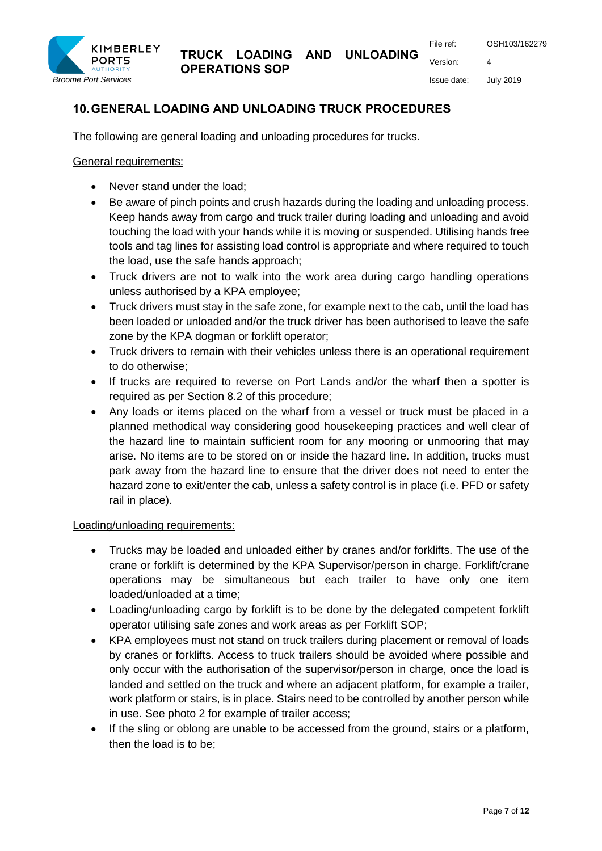**TRUCK LOADING AND UNLOADING OPERATIONS SOP**

File ref: OSH103/162279

Version: 4 Issue date: July 2019

# **10.GENERAL LOADING AND UNLOADING TRUCK PROCEDURES**

The following are general loading and unloading procedures for trucks.

General requirements:

- Never stand under the load:
- Be aware of pinch points and crush hazards during the loading and unloading process. Keep hands away from cargo and truck trailer during loading and unloading and avoid touching the load with your hands while it is moving or suspended. Utilising hands free tools and tag lines for assisting load control is appropriate and where required to touch the load, use the safe hands approach;
- Truck drivers are not to walk into the work area during cargo handling operations unless authorised by a KPA employee;
- Truck drivers must stay in the safe zone, for example next to the cab, until the load has been loaded or unloaded and/or the truck driver has been authorised to leave the safe zone by the KPA dogman or forklift operator;
- Truck drivers to remain with their vehicles unless there is an operational requirement to do otherwise;
- If trucks are required to reverse on Port Lands and/or the wharf then a spotter is required as per Section 8.2 of this procedure;
- Any loads or items placed on the wharf from a vessel or truck must be placed in a planned methodical way considering good housekeeping practices and well clear of the hazard line to maintain sufficient room for any mooring or unmooring that may arise. No items are to be stored on or inside the hazard line. In addition, trucks must park away from the hazard line to ensure that the driver does not need to enter the hazard zone to exit/enter the cab, unless a safety control is in place (i.e. PFD or safety rail in place).

# Loading/unloading requirements:

- Trucks may be loaded and unloaded either by cranes and/or forklifts. The use of the crane or forklift is determined by the KPA Supervisor/person in charge. Forklift/crane operations may be simultaneous but each trailer to have only one item loaded/unloaded at a time;
- Loading/unloading cargo by forklift is to be done by the delegated competent forklift operator utilising safe zones and work areas as per Forklift SOP;
- KPA employees must not stand on truck trailers during placement or removal of loads by cranes or forklifts. Access to truck trailers should be avoided where possible and only occur with the authorisation of the supervisor/person in charge, once the load is landed and settled on the truck and where an adjacent platform, for example a trailer, work platform or stairs, is in place. Stairs need to be controlled by another person while in use. See photo 2 for example of trailer access;
- If the sling or oblong are unable to be accessed from the ground, stairs or a platform, then the load is to be;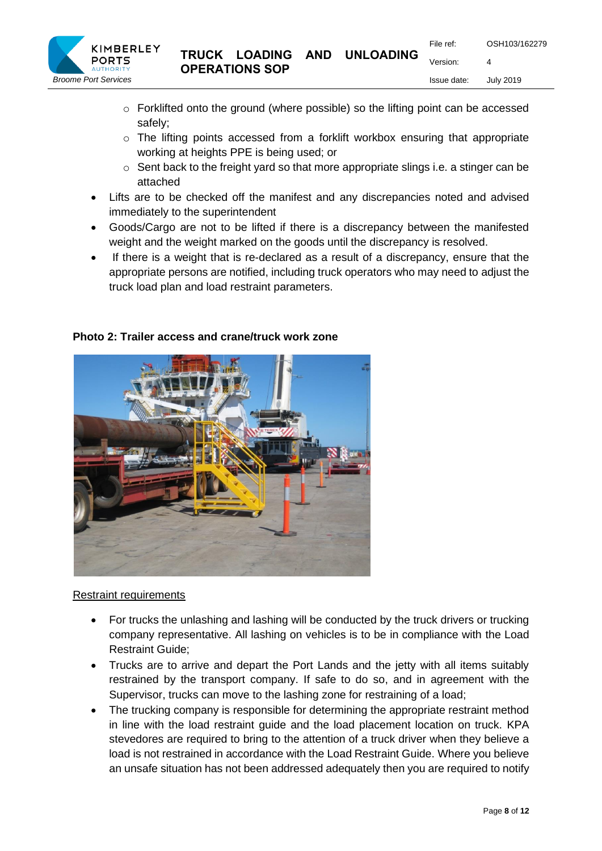

- o Forklifted onto the ground (where possible) so the lifting point can be accessed safely;
- o The lifting points accessed from a forklift workbox ensuring that appropriate working at heights PPE is being used; or
- o Sent back to the freight yard so that more appropriate slings i.e. a stinger can be attached
- Lifts are to be checked off the manifest and any discrepancies noted and advised immediately to the superintendent
- Goods/Cargo are not to be lifted if there is a discrepancy between the manifested weight and the weight marked on the goods until the discrepancy is resolved.
- If there is a weight that is re-declared as a result of a discrepancy, ensure that the appropriate persons are notified, including truck operators who may need to adjust the truck load plan and load restraint parameters.



#### **Photo 2: Trailer access and crane/truck work zone**

#### Restraint requirements

- For trucks the unlashing and lashing will be conducted by the truck drivers or trucking company representative. All lashing on vehicles is to be in compliance with the Load Restraint Guide;
- Trucks are to arrive and depart the Port Lands and the jetty with all items suitably restrained by the transport company. If safe to do so, and in agreement with the Supervisor, trucks can move to the lashing zone for restraining of a load;
- The trucking company is responsible for determining the appropriate restraint method in line with the load restraint guide and the load placement location on truck. KPA stevedores are required to bring to the attention of a truck driver when they believe a load is not restrained in accordance with the Load Restraint Guide. Where you believe an unsafe situation has not been addressed adequately then you are required to notify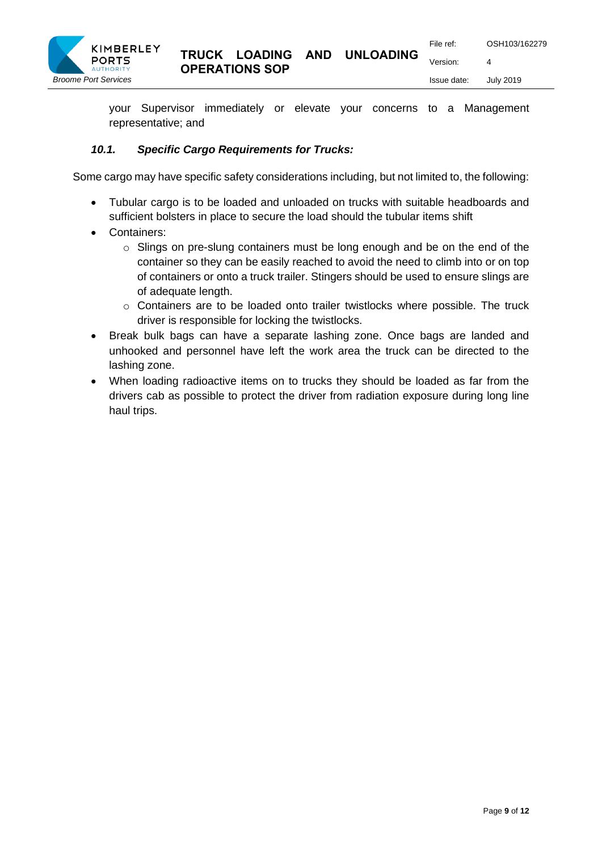

your Supervisor immediately or elevate your concerns to a Management representative; and

# *10.1. Specific Cargo Requirements for Trucks:*

Some cargo may have specific safety considerations including, but not limited to, the following:

- Tubular cargo is to be loaded and unloaded on trucks with suitable headboards and sufficient bolsters in place to secure the load should the tubular items shift
- Containers:
	- $\circ$  Slings on pre-slung containers must be long enough and be on the end of the container so they can be easily reached to avoid the need to climb into or on top of containers or onto a truck trailer. Stingers should be used to ensure slings are of adequate length.
	- $\circ$  Containers are to be loaded onto trailer twistlocks where possible. The truck driver is responsible for locking the twistlocks.
- Break bulk bags can have a separate lashing zone. Once bags are landed and unhooked and personnel have left the work area the truck can be directed to the lashing zone.
- When loading radioactive items on to trucks they should be loaded as far from the drivers cab as possible to protect the driver from radiation exposure during long line haul trips.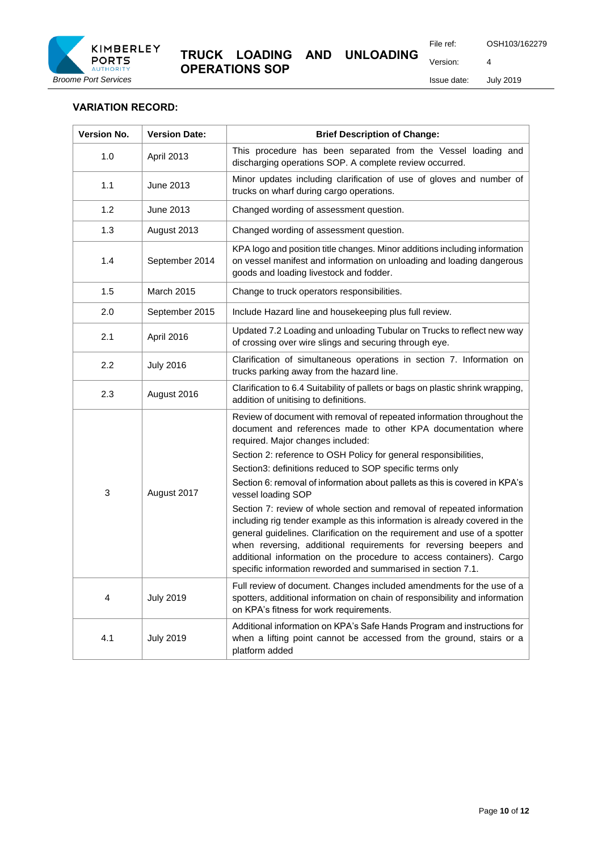

Issue date: July 2019

#### **VARIATION RECORD:**

| <b>Version No.</b> | <b>Version Date:</b> | <b>Brief Description of Change:</b>                                                                                                                                                                                                                                                                                                                                                                                                            |  |
|--------------------|----------------------|------------------------------------------------------------------------------------------------------------------------------------------------------------------------------------------------------------------------------------------------------------------------------------------------------------------------------------------------------------------------------------------------------------------------------------------------|--|
| 1.0                | April 2013           | This procedure has been separated from the Vessel loading and<br>discharging operations SOP. A complete review occurred.                                                                                                                                                                                                                                                                                                                       |  |
| 1.1                | June 2013            | Minor updates including clarification of use of gloves and number of<br>trucks on wharf during cargo operations.                                                                                                                                                                                                                                                                                                                               |  |
| 1.2                | June 2013            | Changed wording of assessment question.                                                                                                                                                                                                                                                                                                                                                                                                        |  |
| 1.3                | August 2013          | Changed wording of assessment question.                                                                                                                                                                                                                                                                                                                                                                                                        |  |
| 1.4                | September 2014       | KPA logo and position title changes. Minor additions including information<br>on vessel manifest and information on unloading and loading dangerous<br>goods and loading livestock and fodder.                                                                                                                                                                                                                                                 |  |
| 1.5                | March 2015           | Change to truck operators responsibilities.                                                                                                                                                                                                                                                                                                                                                                                                    |  |
| 2.0                | September 2015       | Include Hazard line and housekeeping plus full review.                                                                                                                                                                                                                                                                                                                                                                                         |  |
| 2.1                | April 2016           | Updated 7.2 Loading and unloading Tubular on Trucks to reflect new way<br>of crossing over wire slings and securing through eye.                                                                                                                                                                                                                                                                                                               |  |
| 2.2                | <b>July 2016</b>     | Clarification of simultaneous operations in section 7. Information on<br>trucks parking away from the hazard line.                                                                                                                                                                                                                                                                                                                             |  |
| 2.3                | August 2016          | Clarification to 6.4 Suitability of pallets or bags on plastic shrink wrapping,<br>addition of unitising to definitions.                                                                                                                                                                                                                                                                                                                       |  |
| 3                  | August 2017          | Review of document with removal of repeated information throughout the<br>document and references made to other KPA documentation where<br>required. Major changes included:<br>Section 2: reference to OSH Policy for general responsibilities,                                                                                                                                                                                               |  |
|                    |                      | Section3: definitions reduced to SOP specific terms only<br>Section 6: removal of information about pallets as this is covered in KPA's                                                                                                                                                                                                                                                                                                        |  |
|                    |                      | vessel loading SOP                                                                                                                                                                                                                                                                                                                                                                                                                             |  |
|                    |                      | Section 7: review of whole section and removal of repeated information<br>including rig tender example as this information is already covered in the<br>general guidelines. Clarification on the requirement and use of a spotter<br>when reversing, additional requirements for reversing beepers and<br>additional information on the procedure to access containers). Cargo<br>specific information reworded and summarised in section 7.1. |  |
| 4                  | <b>July 2019</b>     | Full review of document. Changes included amendments for the use of a<br>spotters, additional information on chain of responsibility and information<br>on KPA's fitness for work requirements.                                                                                                                                                                                                                                                |  |
| 4.1                | <b>July 2019</b>     | Additional information on KPA's Safe Hands Program and instructions for<br>when a lifting point cannot be accessed from the ground, stairs or a<br>platform added                                                                                                                                                                                                                                                                              |  |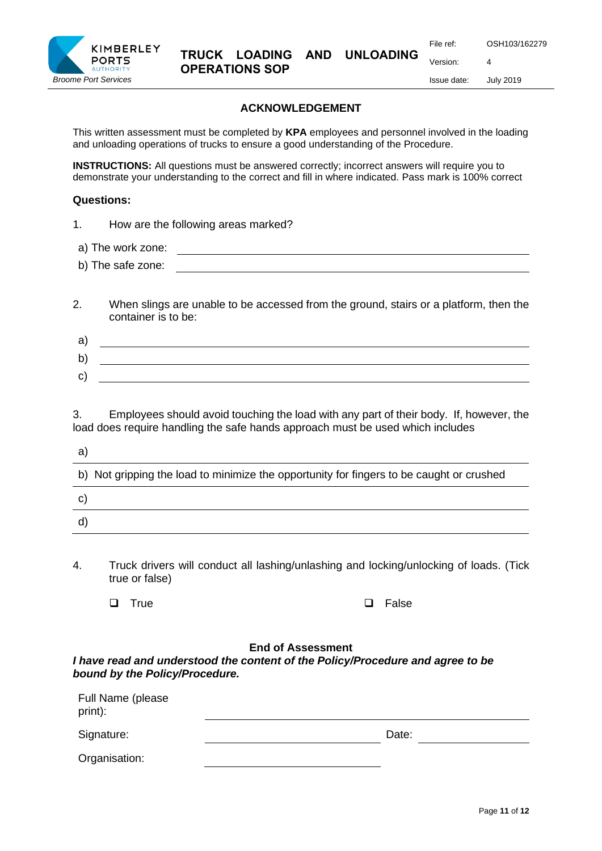

Issue date: July 2019

Version: 4

## **ACKNOWLEDGEMENT**

This written assessment must be completed by **KPA** employees and personnel involved in the loading and unloading operations of trucks to ensure a good understanding of the Procedure.

**INSTRUCTIONS:** All questions must be answered correctly; incorrect answers will require you to demonstrate your understanding to the correct and fill in where indicated. Pass mark is 100% correct

## **Questions:**

- 1. How are the following areas marked?
- a) The work zone:
- b) The safe zone:
- 2. When slings are unable to be accessed from the ground, stairs or a platform, then the container is to be:

| а  |  |
|----|--|
| b  |  |
| C) |  |

3. Employees should avoid touching the load with any part of their body. If, however, the load does require handling the safe hands approach must be used which includes

| a                                                                                        |
|------------------------------------------------------------------------------------------|
| b) Not gripping the load to minimize the opportunity for fingers to be caught or crushed |
| C)                                                                                       |
| ď                                                                                        |
|                                                                                          |

4. Truck drivers will conduct all lashing/unlashing and locking/unlocking of loads. (Tick true or false)

❑ True ❑ False

## **End of Assessment**

*I have read and understood the content of the Policy/Procedure and agree to be bound by the Policy/Procedure.*

| Full Name (please<br>print): |       |
|------------------------------|-------|
| Signature:                   | Date: |
| Organisation:                |       |